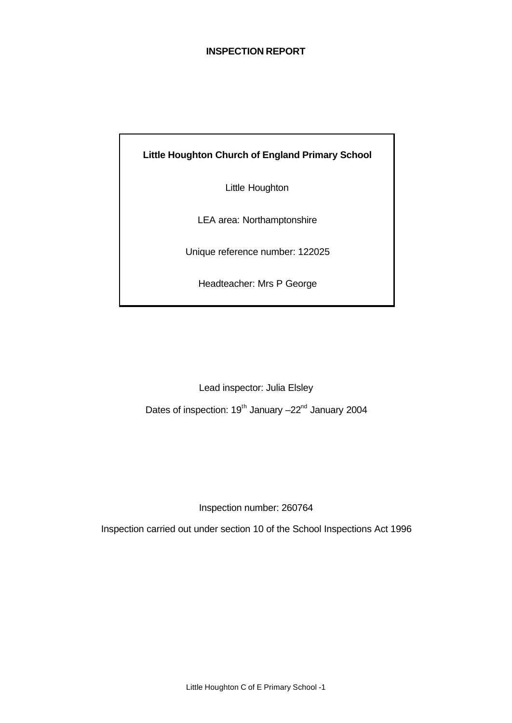## **INSPECTION REPORT**

**Little Houghton Church of England Primary School**

Little Houghton

LEA area: Northamptonshire

Unique reference number: 122025

Headteacher: Mrs P George

Lead inspector: Julia Elsley

Dates of inspection: 19<sup>th</sup> January –22<sup>nd</sup> January 2004

Inspection number: 260764

Inspection carried out under section 10 of the School Inspections Act 1996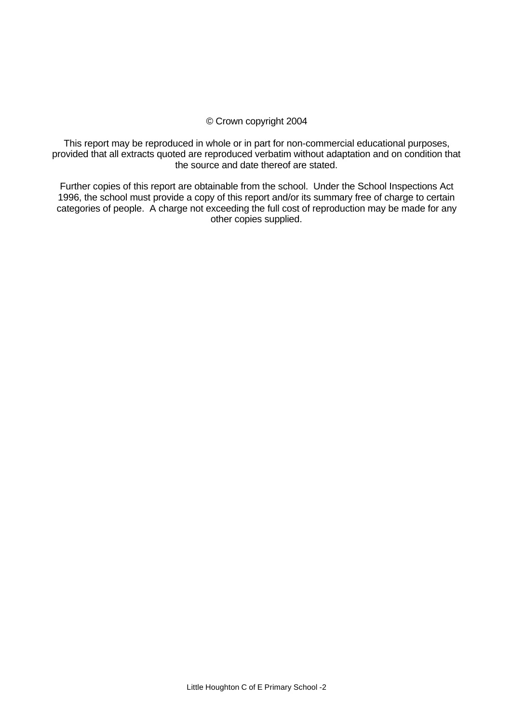## © Crown copyright 2004

This report may be reproduced in whole or in part for non-commercial educational purposes, provided that all extracts quoted are reproduced verbatim without adaptation and on condition that the source and date thereof are stated.

Further copies of this report are obtainable from the school. Under the School Inspections Act 1996, the school must provide a copy of this report and/or its summary free of charge to certain categories of people. A charge not exceeding the full cost of reproduction may be made for any other copies supplied.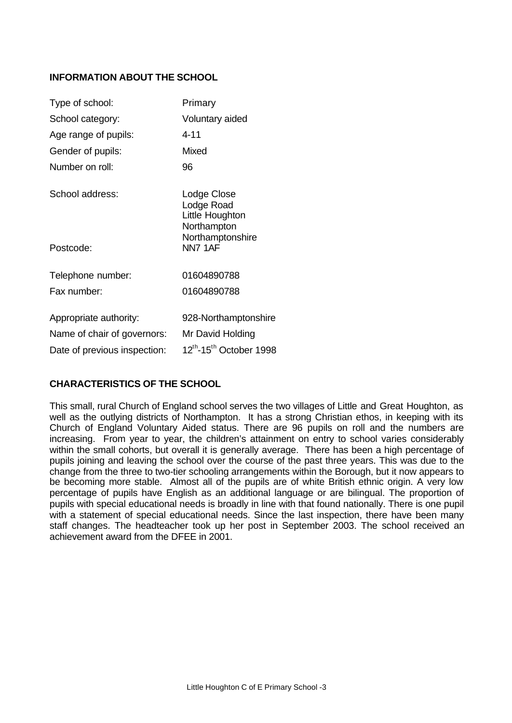## **INFORMATION ABOUT THE SCHOOL**

| Type of school:              | Primary                                                                         |
|------------------------------|---------------------------------------------------------------------------------|
| School category:             | Voluntary aided                                                                 |
| Age range of pupils:         | 4-11                                                                            |
| Gender of pupils:            | Mixed                                                                           |
| Number on roll:              | 96                                                                              |
| School address:              | Lodge Close<br>Lodge Road<br>Little Houghton<br>Northampton<br>Northamptonshire |
| Postcode:                    | NN7 1AF                                                                         |
| Telephone number:            | 01604890788                                                                     |
| Fax number:                  | 01604890788                                                                     |
| Appropriate authority:       | 928-Northamptonshire                                                            |
| Name of chair of governors:  | Mr David Holding                                                                |
| Date of previous inspection: | 12 <sup>th</sup> -15 <sup>th</sup> October 1998                                 |

# **CHARACTERISTICS OF THE SCHOOL**

This small, rural Church of England school serves the two villages of Little and Great Houghton, as well as the outlying districts of Northampton. It has a strong Christian ethos, in keeping with its Church of England Voluntary Aided status. There are 96 pupils on roll and the numbers are increasing. From year to year, the children's attainment on entry to school varies considerably within the small cohorts, but overall it is generally average. There has been a high percentage of pupils joining and leaving the school over the course of the past three years. This was due to the change from the three to two-tier schooling arrangements within the Borough, but it now appears to be becoming more stable. Almost all of the pupils are of white British ethnic origin. A very low percentage of pupils have English as an additional language or are bilingual. The proportion of pupils with special educational needs is broadly in line with that found nationally. There is one pupil with a statement of special educational needs. Since the last inspection, there have been many staff changes. The headteacher took up her post in September 2003. The school received an achievement award from the DFEE in 2001.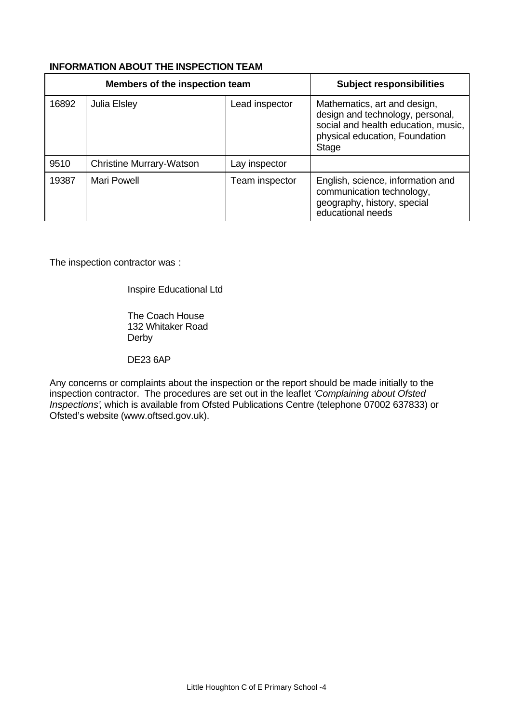## **INFORMATION ABOUT THE INSPECTION TEAM**

|       | Members of the inspection team  | <b>Subject responsibilities</b> |                                                                                                                                                    |
|-------|---------------------------------|---------------------------------|----------------------------------------------------------------------------------------------------------------------------------------------------|
| 16892 | Julia Elsley                    | Lead inspector                  | Mathematics, art and design,<br>design and technology, personal,<br>social and health education, music,<br>physical education, Foundation<br>Stage |
| 9510  | <b>Christine Murrary-Watson</b> | Lay inspector                   |                                                                                                                                                    |
| 19387 | Mari Powell                     | Team inspector                  | English, science, information and<br>communication technology,<br>geography, history, special<br>educational needs                                 |

The inspection contractor was :

Inspire Educational Ltd

The Coach House 132 Whitaker Road Derby

DE23 6AP

Any concerns or complaints about the inspection or the report should be made initially to the inspection contractor. The procedures are set out in the leaflet *'Complaining about Ofsted Inspections'*, which is available from Ofsted Publications Centre (telephone 07002 637833) or Ofsted's website (www.oftsed.gov.uk).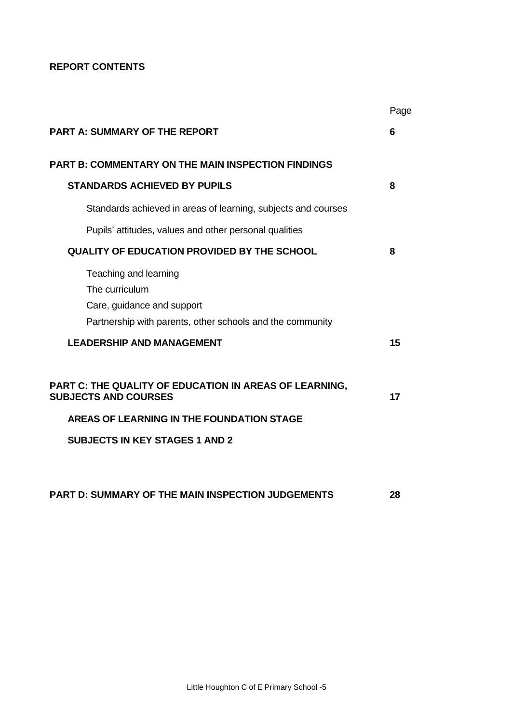## **REPORT CONTENTS**

|                                                                                                                                    | Page |
|------------------------------------------------------------------------------------------------------------------------------------|------|
| <b>PART A: SUMMARY OF THE REPORT</b>                                                                                               | 6    |
| <b>PART B: COMMENTARY ON THE MAIN INSPECTION FINDINGS</b>                                                                          |      |
| <b>STANDARDS ACHIEVED BY PUPILS</b>                                                                                                | 8    |
| Standards achieved in areas of learning, subjects and courses                                                                      |      |
| Pupils' attitudes, values and other personal qualities                                                                             |      |
| <b>QUALITY OF EDUCATION PROVIDED BY THE SCHOOL</b>                                                                                 | 8    |
| Teaching and learning<br>The curriculum<br>Care, guidance and support<br>Partnership with parents, other schools and the community |      |
| <b>LEADERSHIP AND MANAGEMENT</b>                                                                                                   | 15   |
| <b>PART C: THE QUALITY OF EDUCATION IN AREAS OF LEARNING,</b><br><b>SUBJECTS AND COURSES</b>                                       | 17   |
| <b>AREAS OF LEARNING IN THE FOUNDATION STAGE</b>                                                                                   |      |
| <b>SUBJECTS IN KEY STAGES 1 AND 2</b>                                                                                              |      |
|                                                                                                                                    |      |
| <b>PART D: SUMMARY OF THE MAIN INSPECTION JUDGEMENTS</b>                                                                           | 28   |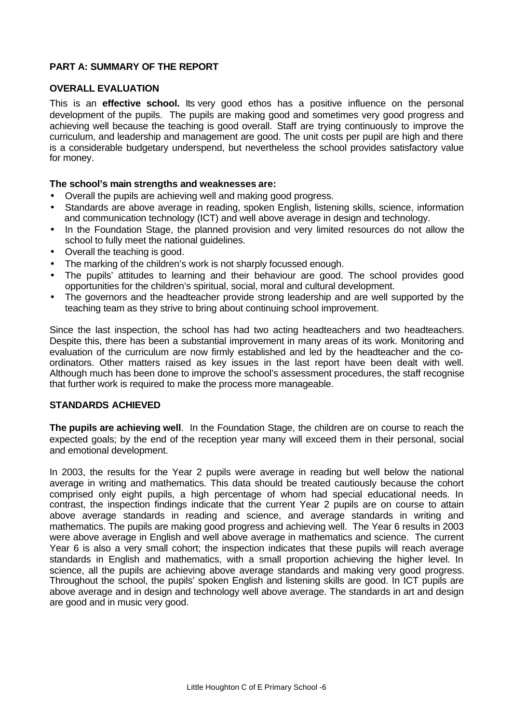# **PART A: SUMMARY OF THE REPORT**

## **OVERALL EVALUATION**

This is an **effective school.** Its very good ethos has a positive influence on the personal development of the pupils. The pupils are making good and sometimes very good progress and achieving well because the teaching is good overall. Staff are trying continuously to improve the curriculum, and leadership and management are good. The unit costs per pupil are high and there is a considerable budgetary underspend, but nevertheless the school provides satisfactory value for money.

## **The school's main strengths and weaknesses are:**

- Overall the pupils are achieving well and making good progress.
- Standards are above average in reading, spoken English, listening skills, science, information and communication technology (ICT) and well above average in design and technology.
- In the Foundation Stage, the planned provision and very limited resources do not allow the school to fully meet the national guidelines.
- Overall the teaching is good.
- The marking of the children's work is not sharply focussed enough.
- The pupils' attitudes to learning and their behaviour are good. The school provides good opportunities for the children's spiritual, social, moral and cultural development.
- The governors and the headteacher provide strong leadership and are well supported by the teaching team as they strive to bring about continuing school improvement.

Since the last inspection, the school has had two acting headteachers and two headteachers. Despite this, there has been a substantial improvement in many areas of its work. Monitoring and evaluation of the curriculum are now firmly established and led by the headteacher and the coordinators. Other matters raised as key issues in the last report have been dealt with well. Although much has been done to improve the school's assessment procedures, the staff recognise that further work is required to make the process more manageable.

### **STANDARDS ACHIEVED**

**The pupils are achieving well**. In the Foundation Stage, the children are on course to reach the expected goals; by the end of the reception year many will exceed them in their personal, social and emotional development.

In 2003, the results for the Year 2 pupils were average in reading but well below the national average in writing and mathematics. This data should be treated cautiously because the cohort comprised only eight pupils, a high percentage of whom had special educational needs. In contrast, the inspection findings indicate that the current Year 2 pupils are on course to attain above average standards in reading and science, and average standards in writing and mathematics. The pupils are making good progress and achieving well. The Year 6 results in 2003 were above average in English and well above average in mathematics and science. The current Year 6 is also a very small cohort; the inspection indicates that these pupils will reach average standards in English and mathematics, with a small proportion achieving the higher level. In science, all the pupils are achieving above average standards and making very good progress. Throughout the school, the pupils' spoken English and listening skills are good. In ICT pupils are above average and in design and technology well above average. The standards in art and design are good and in music very good.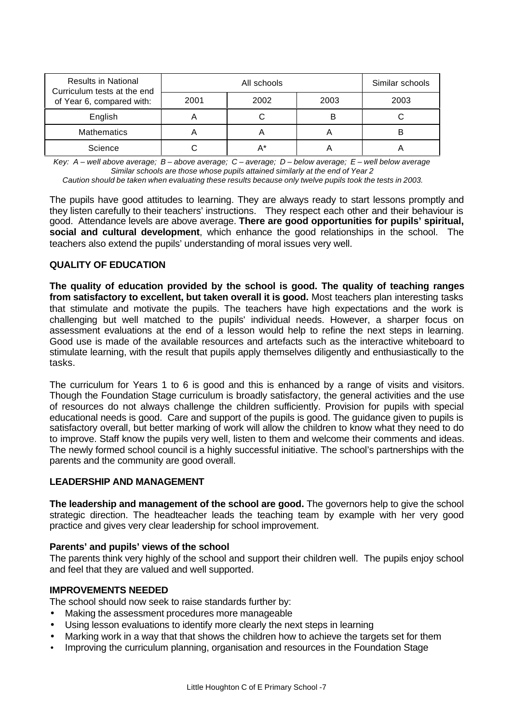| <b>Results in National</b><br>Curriculum tests at the end |      | Similar schools |      |      |
|-----------------------------------------------------------|------|-----------------|------|------|
| of Year 6, compared with:                                 | 2001 | 2002            | 2003 | 2003 |
| English                                                   | n    |                 | B    |      |
| <b>Mathematics</b>                                        |      |                 |      |      |
| Science                                                   |      |                 |      |      |

*Key: A – well above average; B – above average; C – average; D – below average; E – well below average Similar schools are those whose pupils attained similarly at the end of Year 2 Caution should be taken when evaluating these results because only twelve pupils took the tests in 2003.*

teachers also extend the pupils' understanding of moral issues very well.

The pupils have good attitudes to learning. They are always ready to start lessons promptly and they listen carefully to their teachers' instructions. They respect each other and their behaviour is good. Attendance levels are above average. **There are good opportunities for pupils' spiritual,**

**social and cultural development**, which enhance the good relationships in the school. The

## **QUALITY OF EDUCATION**

**The quality of education provided by the school is good. The quality of teaching ranges from satisfactory to excellent, but taken overall it is good.** Most teachers plan interesting tasks that stimulate and motivate the pupils. The teachers have high expectations and the work is challenging but well matched to the pupils' individual needs. However, a sharper focus on assessment evaluations at the end of a lesson would help to refine the next steps in learning. Good use is made of the available resources and artefacts such as the interactive whiteboard to stimulate learning, with the result that pupils apply themselves diligently and enthusiastically to the tasks.

The curriculum for Years 1 to 6 is good and this is enhanced by a range of visits and visitors. Though the Foundation Stage curriculum is broadly satisfactory, the general activities and the use of resources do not always challenge the children sufficiently. Provision for pupils with special educational needs is good. Care and support of the pupils is good. The guidance given to pupils is satisfactory overall, but better marking of work will allow the children to know what they need to do to improve. Staff know the pupils very well, listen to them and welcome their comments and ideas. The newly formed school council is a highly successful initiative. The school's partnerships with the parents and the community are good overall.

### **LEADERSHIP AND MANAGEMENT**

**The leadership and management of the school are good.** The governors help to give the school strategic direction. The headteacher leads the teaching team by example with her very good practice and gives very clear leadership for school improvement.

### **Parents' and pupils' views of the school**

The parents think very highly of the school and support their children well. The pupils enjoy school and feel that they are valued and well supported.

### **IMPROVEMENTS NEEDED**

The school should now seek to raise standards further by:

- Making the assessment procedures more manageable
- Using lesson evaluations to identify more clearly the next steps in learning
- Marking work in a way that that shows the children how to achieve the targets set for them
- Improving the curriculum planning, organisation and resources in the Foundation Stage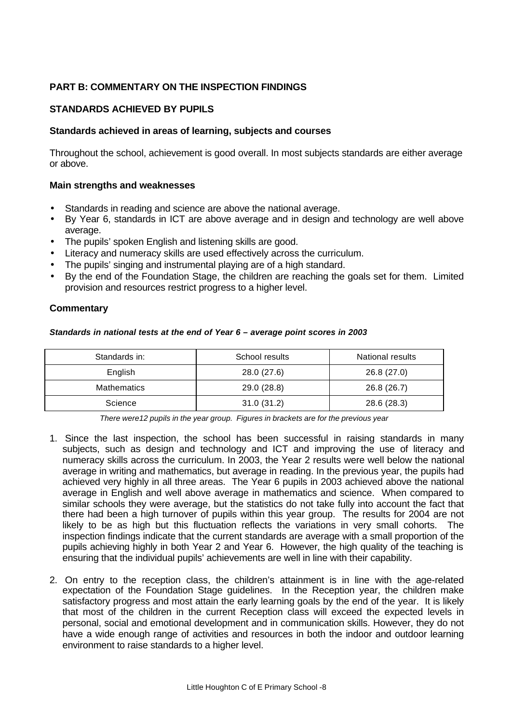# **PART B: COMMENTARY ON THE INSPECTION FINDINGS**

## **STANDARDS ACHIEVED BY PUPILS**

## **Standards achieved in areas of learning, subjects and courses**

Throughout the school, achievement is good overall. In most subjects standards are either average or above.

## **Main strengths and weaknesses**

- Standards in reading and science are above the national average.
- By Year 6, standards in ICT are above average and in design and technology are well above average.
- The pupils' spoken English and listening skills are good.
- Literacy and numeracy skills are used effectively across the curriculum.
- The pupils' singing and instrumental playing are of a high standard.
- By the end of the Foundation Stage, the children are reaching the goals set for them. Limited provision and resources restrict progress to a higher level.

## **Commentary**

#### *Standards in national tests at the end of Year 6 – average point scores in 2003*

| Standards in:      | School results | National results |
|--------------------|----------------|------------------|
| English            | 28.0 (27.6)    | 26.8 (27.0)      |
| <b>Mathematics</b> | 29.0 (28.8)    | 26.8 (26.7)      |
| Science            | 31.0(31.2)     | 28.6 (28.3)      |

*There were12 pupils in the year group. Figures in brackets are for the previous year*

- 1. Since the last inspection, the school has been successful in raising standards in many subjects, such as design and technology and ICT and improving the use of literacy and numeracy skills across the curriculum. In 2003, the Year 2 results were well below the national average in writing and mathematics, but average in reading. In the previous year, the pupils had achieved very highly in all three areas. The Year 6 pupils in 2003 achieved above the national average in English and well above average in mathematics and science. When compared to similar schools they were average, but the statistics do not take fully into account the fact that there had been a high turnover of pupils within this year group. The results for 2004 are not likely to be as high but this fluctuation reflects the variations in very small cohorts. The inspection findings indicate that the current standards are average with a small proportion of the pupils achieving highly in both Year 2 and Year 6. However, the high quality of the teaching is ensuring that the individual pupils' achievements are well in line with their capability.
- 2. On entry to the reception class, the children's attainment is in line with the age-related expectation of the Foundation Stage guidelines. In the Reception year, the children make satisfactory progress and most attain the early learning goals by the end of the year. It is likely that most of the children in the current Reception class will exceed the expected levels in personal, social and emotional development and in communication skills. However, they do not have a wide enough range of activities and resources in both the indoor and outdoor learning environment to raise standards to a higher level.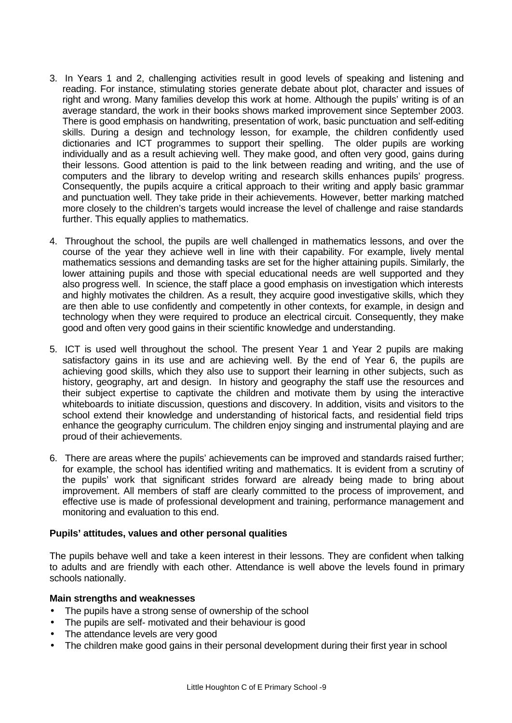- 3. In Years 1 and 2, challenging activities result in good levels of speaking and listening and reading. For instance, stimulating stories generate debate about plot, character and issues of right and wrong. Many families develop this work at home. Although the pupils' writing is of an average standard, the work in their books shows marked improvement since September 2003. There is good emphasis on handwriting, presentation of work, basic punctuation and self-editing skills. During a design and technology lesson, for example, the children confidently used dictionaries and ICT programmes to support their spelling. The older pupils are working individually and as a result achieving well. They make good, and often very good, gains during their lessons. Good attention is paid to the link between reading and writing, and the use of computers and the library to develop writing and research skills enhances pupils' progress. Consequently, the pupils acquire a critical approach to their writing and apply basic grammar and punctuation well. They take pride in their achievements. However, better marking matched more closely to the children's targets would increase the level of challenge and raise standards further. This equally applies to mathematics.
- 4. Throughout the school, the pupils are well challenged in mathematics lessons, and over the course of the year they achieve well in line with their capability. For example, lively mental mathematics sessions and demanding tasks are set for the higher attaining pupils. Similarly, the lower attaining pupils and those with special educational needs are well supported and they also progress well. In science, the staff place a good emphasis on investigation which interests and highly motivates the children. As a result, they acquire good investigative skills, which they are then able to use confidently and competently in other contexts, for example, in design and technology when they were required to produce an electrical circuit. Consequently, they make good and often very good gains in their scientific knowledge and understanding.
- 5. ICT is used well throughout the school. The present Year 1 and Year 2 pupils are making satisfactory gains in its use and are achieving well. By the end of Year 6, the pupils are achieving good skills, which they also use to support their learning in other subjects, such as history, geography, art and design. In history and geography the staff use the resources and their subject expertise to captivate the children and motivate them by using the interactive whiteboards to initiate discussion, questions and discovery. In addition, visits and visitors to the school extend their knowledge and understanding of historical facts, and residential field trips enhance the geography curriculum. The children enjoy singing and instrumental playing and are proud of their achievements.
- 6. There are areas where the pupils' achievements can be improved and standards raised further; for example, the school has identified writing and mathematics. It is evident from a scrutiny of the pupils' work that significant strides forward are already being made to bring about improvement. All members of staff are clearly committed to the process of improvement, and effective use is made of professional development and training, performance management and monitoring and evaluation to this end.

## **Pupils' attitudes, values and other personal qualities**

The pupils behave well and take a keen interest in their lessons. They are confident when talking to adults and are friendly with each other. Attendance is well above the levels found in primary schools nationally.

### **Main strengths and weaknesses**

- The pupils have a strong sense of ownership of the school
- The pupils are self- motivated and their behaviour is good
- The attendance levels are very good
- The children make good gains in their personal development during their first year in school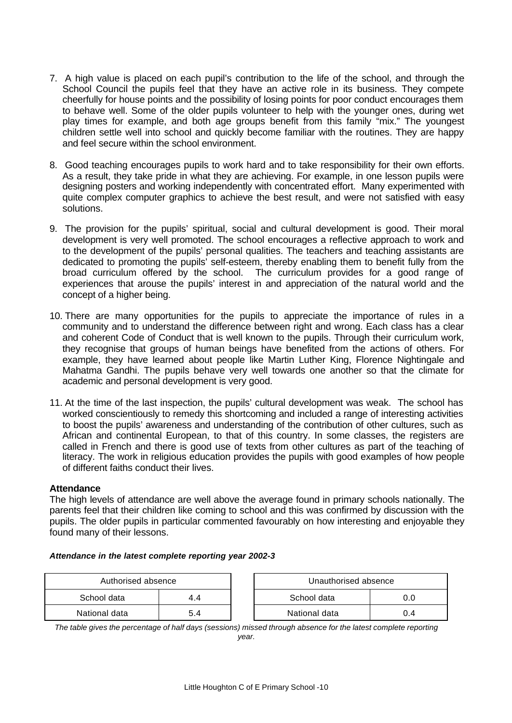- 7. A high value is placed on each pupil's contribution to the life of the school, and through the School Council the pupils feel that they have an active role in its business. They compete cheerfully for house points and the possibility of losing points for poor conduct encourages them to behave well. Some of the older pupils volunteer to help with the younger ones, during wet play times for example, and both age groups benefit from this family "mix." The youngest children settle well into school and quickly become familiar with the routines. They are happy and feel secure within the school environment.
- 8. Good teaching encourages pupils to work hard and to take responsibility for their own efforts. As a result, they take pride in what they are achieving. For example, in one lesson pupils were designing posters and working independently with concentrated effort. Many experimented with quite complex computer graphics to achieve the best result, and were not satisfied with easy solutions.
- 9. The provision for the pupils' spiritual, social and cultural development is good. Their moral development is very well promoted. The school encourages a reflective approach to work and to the development of the pupils' personal qualities. The teachers and teaching assistants are dedicated to promoting the pupils' self-esteem, thereby enabling them to benefit fully from the broad curriculum offered by the school. The curriculum provides for a good range of experiences that arouse the pupils' interest in and appreciation of the natural world and the concept of a higher being.
- 10. There are many opportunities for the pupils to appreciate the importance of rules in a community and to understand the difference between right and wrong. Each class has a clear and coherent Code of Conduct that is well known to the pupils. Through their curriculum work, they recognise that groups of human beings have benefited from the actions of others. For example, they have learned about people like Martin Luther King, Florence Nightingale and Mahatma Gandhi. The pupils behave very well towards one another so that the climate for academic and personal development is very good.
- 11. At the time of the last inspection, the pupils' cultural development was weak. The school has worked conscientiously to remedy this shortcoming and included a range of interesting activities to boost the pupils' awareness and understanding of the contribution of other cultures, such as African and continental European, to that of this country. In some classes, the registers are called in French and there is good use of texts from other cultures as part of the teaching of literacy. The work in religious education provides the pupils with good examples of how people of different faiths conduct their lives.

## **Attendance**

The high levels of attendance are well above the average found in primary schools nationally. The parents feel that their children like coming to school and this was confirmed by discussion with the pupils. The older pupils in particular commented favourably on how interesting and enjoyable they found many of their lessons.

### *Attendance in the latest complete reporting year 2002-3*

| Authorised absence |     | Unauthorised absence |     |  |
|--------------------|-----|----------------------|-----|--|
| School data        | 4.4 | School data<br>0.0   |     |  |
| National data      | 5.4 | National data        | J.4 |  |

*The table gives the percentage of half days (sessions) missed through absence for the latest complete reporting year.*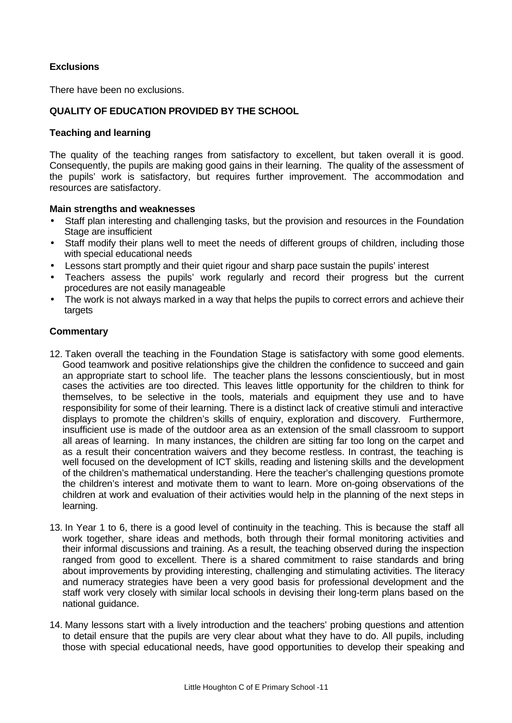## **Exclusions**

There have been no exclusions.

## **QUALITY OF EDUCATION PROVIDED BY THE SCHOOL**

## **Teaching and learning**

The quality of the teaching ranges from satisfactory to excellent, but taken overall it is good. Consequently, the pupils are making good gains in their learning. The quality of the assessment of the pupils' work is satisfactory, but requires further improvement. The accommodation and resources are satisfactory.

## **Main strengths and weaknesses**

- Staff plan interesting and challenging tasks, but the provision and resources in the Foundation Stage are insufficient
- Staff modify their plans well to meet the needs of different groups of children, including those with special educational needs
- Lessons start promptly and their quiet rigour and sharp pace sustain the pupils' interest
- Teachers assess the pupils' work regularly and record their progress but the current procedures are not easily manageable
- The work is not always marked in a way that helps the pupils to correct errors and achieve their targets

- 12. Taken overall the teaching in the Foundation Stage is satisfactory with some good elements. Good teamwork and positive relationships give the children the confidence to succeed and gain an appropriate start to school life. The teacher plans the lessons conscientiously, but in most cases the activities are too directed. This leaves little opportunity for the children to think for themselves, to be selective in the tools, materials and equipment they use and to have responsibility for some of their learning. There is a distinct lack of creative stimuli and interactive displays to promote the children's skills of enquiry, exploration and discovery. Furthermore, insufficient use is made of the outdoor area as an extension of the small classroom to support all areas of learning. In many instances, the children are sitting far too long on the carpet and as a result their concentration waivers and they become restless. In contrast, the teaching is well focused on the development of ICT skills, reading and listening skills and the development of the children's mathematical understanding. Here the teacher's challenging questions promote the children's interest and motivate them to want to learn. More on-going observations of the children at work and evaluation of their activities would help in the planning of the next steps in learning.
- 13. In Year 1 to 6, there is a good level of continuity in the teaching. This is because the staff all work together, share ideas and methods, both through their formal monitoring activities and their informal discussions and training. As a result, the teaching observed during the inspection ranged from good to excellent. There is a shared commitment to raise standards and bring about improvements by providing interesting, challenging and stimulating activities. The literacy and numeracy strategies have been a very good basis for professional development and the staff work very closely with similar local schools in devising their long-term plans based on the national guidance.
- 14. Many lessons start with a lively introduction and the teachers' probing questions and attention to detail ensure that the pupils are very clear about what they have to do. All pupils, including those with special educational needs, have good opportunities to develop their speaking and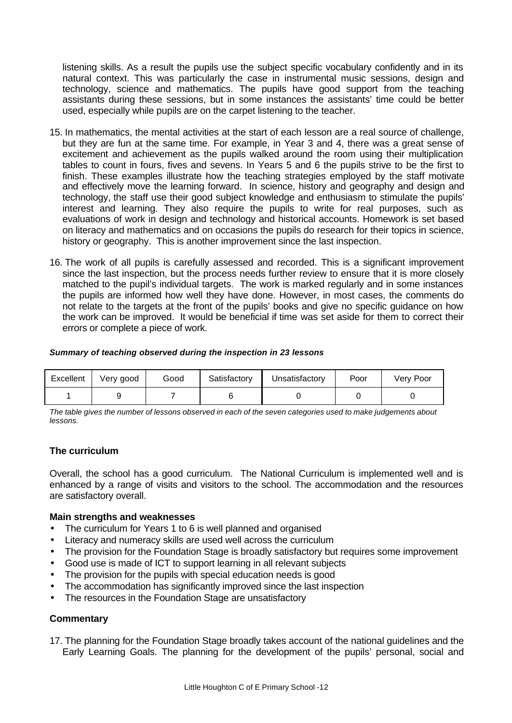listening skills. As a result the pupils use the subject specific vocabulary confidently and in its natural context. This was particularly the case in instrumental music sessions, design and technology, science and mathematics. The pupils have good support from the teaching assistants during these sessions, but in some instances the assistants' time could be better used, especially while pupils are on the carpet listening to the teacher.

- 15. In mathematics, the mental activities at the start of each lesson are a real source of challenge, but they are fun at the same time. For example, in Year 3 and 4, there was a great sense of excitement and achievement as the pupils walked around the room using their multiplication tables to count in fours, fives and sevens. In Years 5 and 6 the pupils strive to be the first to finish. These examples illustrate how the teaching strategies employed by the staff motivate and effectively move the learning forward. In science, history and geography and design and technology, the staff use their good subject knowledge and enthusiasm to stimulate the pupils' interest and learning. They also require the pupils to write for real purposes, such as evaluations of work in design and technology and historical accounts. Homework is set based on literacy and mathematics and on occasions the pupils do research for their topics in science, history or geography. This is another improvement since the last inspection.
- 16. The work of all pupils is carefully assessed and recorded. This is a significant improvement since the last inspection, but the process needs further review to ensure that it is more closely matched to the pupil's individual targets. The work is marked regularly and in some instances the pupils are informed how well they have done. However, in most cases, the comments do not relate to the targets at the front of the pupils' books and give no specific guidance on how the work can be improved. It would be beneficial if time was set aside for them to correct their errors or complete a piece of work.

### *Summary of teaching observed during the inspection in 23 lessons*

| Excellent | Very good | Good | Satisfactory | Unsatisfactory | Poor | Very Poor |
|-----------|-----------|------|--------------|----------------|------|-----------|
|           |           |      |              |                |      |           |

*The table gives the number of lessons observed in each of the seven categories used to make judgements about lessons.*

## **The curriculum**

Overall, the school has a good curriculum. The National Curriculum is implemented well and is enhanced by a range of visits and visitors to the school. The accommodation and the resources are satisfactory overall.

### **Main strengths and weaknesses**

- The curriculum for Years 1 to 6 is well planned and organised
- Literacy and numeracy skills are used well across the curriculum
- The provision for the Foundation Stage is broadly satisfactory but requires some improvement
- Good use is made of ICT to support learning in all relevant subjects
- The provision for the pupils with special education needs is good
- The accommodation has significantly improved since the last inspection
- The resources in the Foundation Stage are unsatisfactory

### **Commentary**

17. The planning for the Foundation Stage broadly takes account of the national guidelines and the Early Learning Goals. The planning for the development of the pupils' personal, social and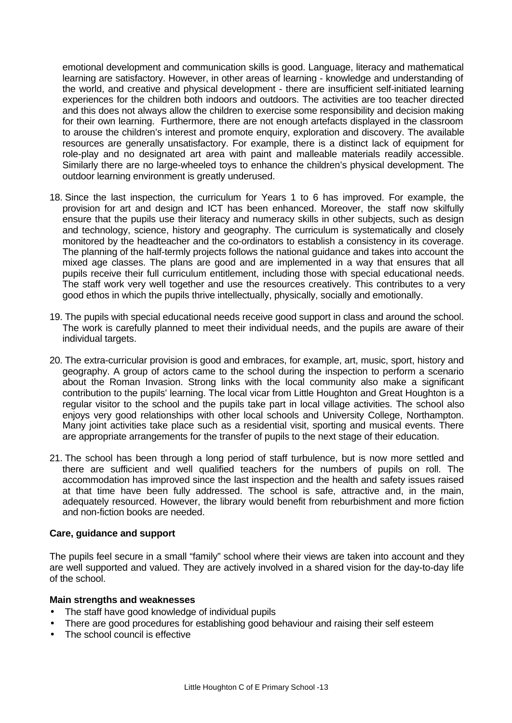emotional development and communication skills is good. Language, literacy and mathematical learning are satisfactory. However, in other areas of learning - knowledge and understanding of the world, and creative and physical development - there are insufficient self-initiated learning experiences for the children both indoors and outdoors. The activities are too teacher directed and this does not always allow the children to exercise some responsibility and decision making for their own learning. Furthermore, there are not enough artefacts displayed in the classroom to arouse the children's interest and promote enquiry, exploration and discovery. The available resources are generally unsatisfactory. For example, there is a distinct lack of equipment for role-play and no designated art area with paint and malleable materials readily accessible. Similarly there are no large-wheeled toys to enhance the children's physical development. The outdoor learning environment is greatly underused.

- 18. Since the last inspection, the curriculum for Years 1 to 6 has improved. For example, the provision for art and design and ICT has been enhanced. Moreover, the staff now skilfully ensure that the pupils use their literacy and numeracy skills in other subjects, such as design and technology, science, history and geography. The curriculum is systematically and closely monitored by the headteacher and the co-ordinators to establish a consistency in its coverage. The planning of the half-termly projects follows the national guidance and takes into account the mixed age classes. The plans are good and are implemented in a way that ensures that all pupils receive their full curriculum entitlement, including those with special educational needs. The staff work very well together and use the resources creatively. This contributes to a very good ethos in which the pupils thrive intellectually, physically, socially and emotionally.
- 19. The pupils with special educational needs receive good support in class and around the school. The work is carefully planned to meet their individual needs, and the pupils are aware of their individual targets.
- 20. The extra-curricular provision is good and embraces, for example, art, music, sport, history and geography. A group of actors came to the school during the inspection to perform a scenario about the Roman Invasion. Strong links with the local community also make a significant contribution to the pupils' learning. The local vicar from Little Houghton and Great Houghton is a regular visitor to the school and the pupils take part in local village activities. The school also enjoys very good relationships with other local schools and University College, Northampton. Many joint activities take place such as a residential visit, sporting and musical events. There are appropriate arrangements for the transfer of pupils to the next stage of their education.
- 21. The school has been through a long period of staff turbulence, but is now more settled and there are sufficient and well qualified teachers for the numbers of pupils on roll. The accommodation has improved since the last inspection and the health and safety issues raised at that time have been fully addressed. The school is safe, attractive and, in the main, adequately resourced. However, the library would benefit from reburbishment and more fiction and non-fiction books are needed.

### **Care, guidance and support**

The pupils feel secure in a small "family" school where their views are taken into account and they are well supported and valued. They are actively involved in a shared vision for the day-to-day life of the school.

### **Main strengths and weaknesses**

- The staff have good knowledge of individual pupils
- There are good procedures for establishing good behaviour and raising their self esteem
- The school council is effective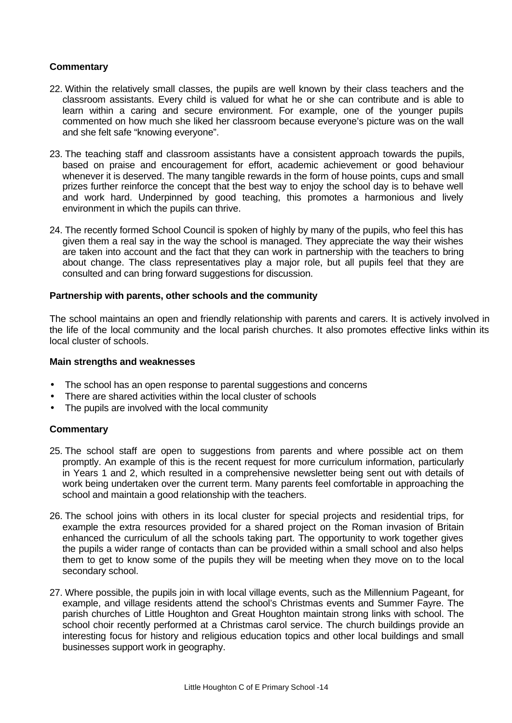## **Commentary**

- 22. Within the relatively small classes, the pupils are well known by their class teachers and the classroom assistants. Every child is valued for what he or she can contribute and is able to learn within a caring and secure environment. For example, one of the younger pupils commented on how much she liked her classroom because everyone's picture was on the wall and she felt safe "knowing everyone".
- 23. The teaching staff and classroom assistants have a consistent approach towards the pupils, based on praise and encouragement for effort, academic achievement or good behaviour whenever it is deserved. The many tangible rewards in the form of house points, cups and small prizes further reinforce the concept that the best way to enjoy the school day is to behave well and work hard. Underpinned by good teaching, this promotes a harmonious and lively environment in which the pupils can thrive.
- 24. The recently formed School Council is spoken of highly by many of the pupils, who feel this has given them a real say in the way the school is managed. They appreciate the way their wishes are taken into account and the fact that they can work in partnership with the teachers to bring about change. The class representatives play a major role, but all pupils feel that they are consulted and can bring forward suggestions for discussion.

## **Partnership with parents, other schools and the community**

The school maintains an open and friendly relationship with parents and carers. It is actively involved in the life of the local community and the local parish churches. It also promotes effective links within its local cluster of schools.

### **Main strengths and weaknesses**

- The school has an open response to parental suggestions and concerns
- There are shared activities within the local cluster of schools
- The pupils are involved with the local community

- 25. The school staff are open to suggestions from parents and where possible act on them promptly. An example of this is the recent request for more curriculum information, particularly in Years 1 and 2, which resulted in a comprehensive newsletter being sent out with details of work being undertaken over the current term. Many parents feel comfortable in approaching the school and maintain a good relationship with the teachers.
- 26. The school joins with others in its local cluster for special projects and residential trips, for example the extra resources provided for a shared project on the Roman invasion of Britain enhanced the curriculum of all the schools taking part. The opportunity to work together gives the pupils a wider range of contacts than can be provided within a small school and also helps them to get to know some of the pupils they will be meeting when they move on to the local secondary school.
- 27. Where possible, the pupils join in with local village events, such as the Millennium Pageant, for example, and village residents attend the school's Christmas events and Summer Fayre. The parish churches of Little Houghton and Great Houghton maintain strong links with school. The school choir recently performed at a Christmas carol service. The church buildings provide an interesting focus for history and religious education topics and other local buildings and small businesses support work in geography.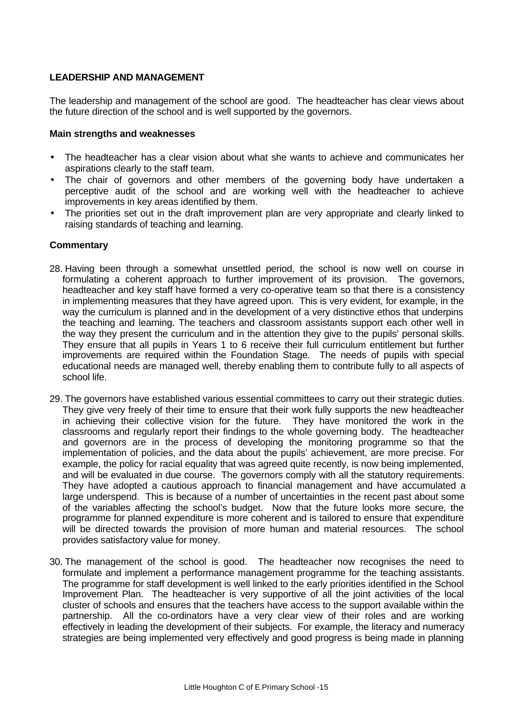## **LEADERSHIP AND MANAGEMENT**

The leadership and management of the school are good. The headteacher has clear views about the future direction of the school and is well supported by the governors.

## **Main strengths and weaknesses**

- The headteacher has a clear vision about what she wants to achieve and communicates her aspirations clearly to the staff team.
- The chair of governors and other members of the governing body have undertaken a perceptive audit of the school and are working well with the headteacher to achieve improvements in key areas identified by them.
- The priorities set out in the draft improvement plan are very appropriate and clearly linked to raising standards of teaching and learning.

- 28. Having been through a somewhat unsettled period, the school is now well on course in formulating a coherent approach to further improvement of its provision. The governors, headteacher and key staff have formed a very co-operative team so that there is a consistency in implementing measures that they have agreed upon. This is very evident, for example, in the way the curriculum is planned and in the development of a very distinctive ethos that underpins the teaching and learning. The teachers and classroom assistants support each other well in the way they present the curriculum and in the attention they give to the pupils' personal skills. They ensure that all pupils in Years 1 to 6 receive their full curriculum entitlement but further improvements are required within the Foundation Stage. The needs of pupils with special educational needs are managed well, thereby enabling them to contribute fully to all aspects of school life.
- 29. The governors have established various essential committees to carry out their strategic duties. They give very freely of their time to ensure that their work fully supports the new headteacher in achieving their collective vision for the future. They have monitored the work in the classrooms and regularly report their findings to the whole governing body. The headteacher and governors are in the process of developing the monitoring programme so that the implementation of policies, and the data about the pupils' achievement, are more precise. For example, the policy for racial equality that was agreed quite recently, is now being implemented, and will be evaluated in due course. The governors comply with all the statutory requirements. They have adopted a cautious approach to financial management and have accumulated a large underspend. This is because of a number of uncertainties in the recent past about some of the variables affecting the school's budget. Now that the future looks more secure, the programme for planned expenditure is more coherent and is tailored to ensure that expenditure will be directed towards the provision of more human and material resources. The school provides satisfactory value for money.
- 30. The management of the school is good. The headteacher now recognises the need to formulate and implement a performance management programme for the teaching assistants. The programme for staff development is well linked to the early priorities identified in the School Improvement Plan. The headteacher is very supportive of all the joint activities of the local cluster of schools and ensures that the teachers have access to the support available within the partnership. All the co-ordinators have a very clear view of their roles and are working effectively in leading the development of their subjects. For example, the literacy and numeracy strategies are being implemented very effectively and good progress is being made in planning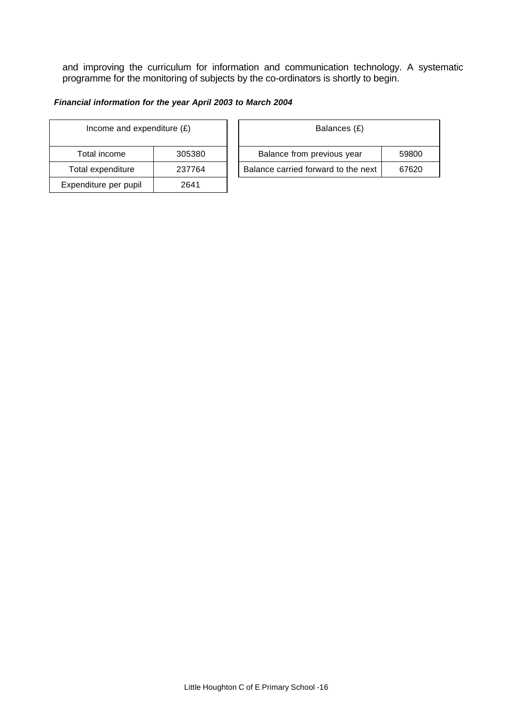and improving the curriculum for information and communication technology. A systematic programme for the monitoring of subjects by the co-ordinators is shortly to begin.

## *Financial information for the year April 2003 to March 2004*

| Income and expenditure $(E)$ |        |  | Balances (£)                     |
|------------------------------|--------|--|----------------------------------|
| Total income                 | 305380 |  | Balance from previous year       |
| Total expenditure            | 237764 |  | Balance carried forward to the r |
| Expenditure per pupil        | 2641   |  |                                  |

| Income and expenditure $(E)$ |        | Balances (£)                        |       |  |
|------------------------------|--------|-------------------------------------|-------|--|
| Total income                 | 305380 | Balance from previous year          | 59800 |  |
| Total expenditure            | 237764 | Balance carried forward to the next | 67620 |  |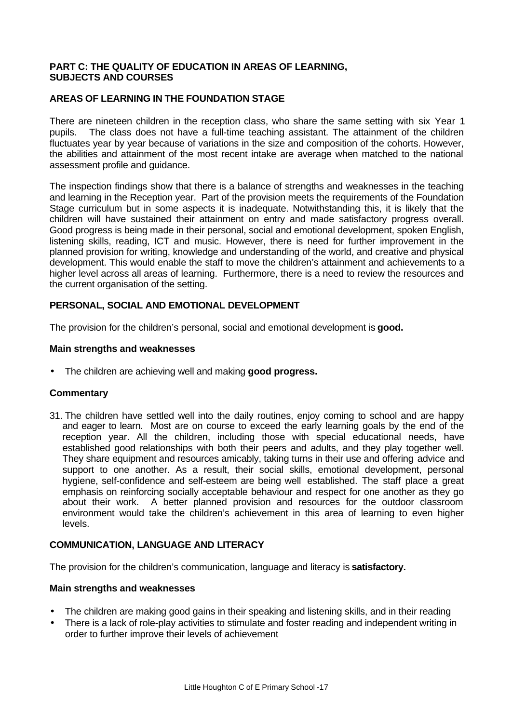## **PART C: THE QUALITY OF EDUCATION IN AREAS OF LEARNING, SUBJECTS AND COURSES**

## **AREAS OF LEARNING IN THE FOUNDATION STAGE**

There are nineteen children in the reception class, who share the same setting with six Year 1 pupils. The class does not have a full-time teaching assistant. The attainment of the children fluctuates year by year because of variations in the size and composition of the cohorts. However, the abilities and attainment of the most recent intake are average when matched to the national assessment profile and guidance.

The inspection findings show that there is a balance of strengths and weaknesses in the teaching and learning in the Reception year. Part of the provision meets the requirements of the Foundation Stage curriculum but in some aspects it is inadequate. Notwithstanding this, it is likely that the children will have sustained their attainment on entry and made satisfactory progress overall. Good progress is being made in their personal, social and emotional development, spoken English, listening skills, reading, ICT and music. However, there is need for further improvement in the planned provision for writing, knowledge and understanding of the world, and creative and physical development. This would enable the staff to move the children's attainment and achievements to a higher level across all areas of learning. Furthermore, there is a need to review the resources and the current organisation of the setting.

## **PERSONAL, SOCIAL AND EMOTIONAL DEVELOPMENT**

The provision for the children's personal, social and emotional development is **good.**

## **Main strengths and weaknesses**

• The children are achieving well and making **good progress.**

### **Commentary**

31. The children have settled well into the daily routines, enjoy coming to school and are happy and eager to learn. Most are on course to exceed the early learning goals by the end of the reception year. All the children, including those with special educational needs, have established good relationships with both their peers and adults, and they play together well. They share equipment and resources amicably, taking turns in their use and offering advice and support to one another. As a result, their social skills, emotional development, personal hygiene, self-confidence and self-esteem are being well established. The staff place a great emphasis on reinforcing socially acceptable behaviour and respect for one another as they go about their work. A better planned provision and resources for the outdoor classroom environment would take the children's achievement in this area of learning to even higher levels.

### **COMMUNICATION, LANGUAGE AND LITERACY**

The provision for the children's communication, language and literacy is **satisfactory.**

### **Main strengths and weaknesses**

- The children are making good gains in their speaking and listening skills, and in their reading
- There is a lack of role-play activities to stimulate and foster reading and independent writing in order to further improve their levels of achievement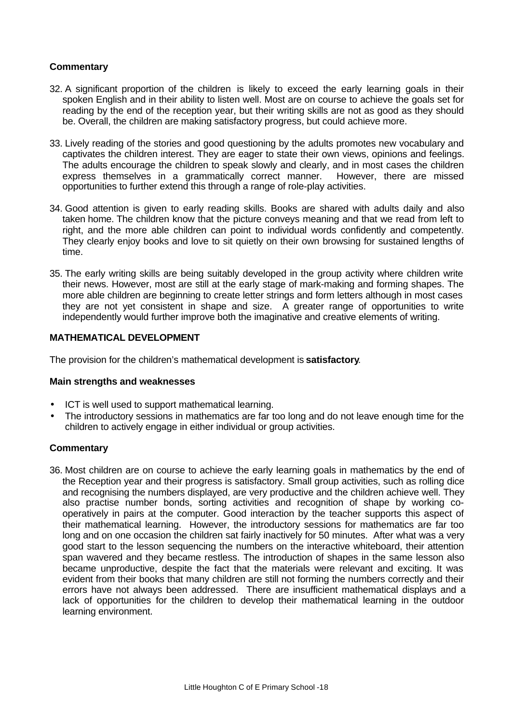## **Commentary**

- 32. A significant proportion of the children is likely to exceed the early learning goals in their spoken English and in their ability to listen well. Most are on course to achieve the goals set for reading by the end of the reception year, but their writing skills are not as good as they should be. Overall, the children are making satisfactory progress, but could achieve more.
- 33. Lively reading of the stories and good questioning by the adults promotes new vocabulary and captivates the children interest. They are eager to state their own views, opinions and feelings. The adults encourage the children to speak slowly and clearly, and in most cases the children express themselves in a grammatically correct manner. However, there are missed opportunities to further extend this through a range of role-play activities.
- 34. Good attention is given to early reading skills. Books are shared with adults daily and also taken home. The children know that the picture conveys meaning and that we read from left to right, and the more able children can point to individual words confidently and competently. They clearly enjoy books and love to sit quietly on their own browsing for sustained lengths of time.
- 35. The early writing skills are being suitably developed in the group activity where children write their news. However, most are still at the early stage of mark-making and forming shapes. The more able children are beginning to create letter strings and form letters although in most cases they are not yet consistent in shape and size. A greater range of opportunities to write independently would further improve both the imaginative and creative elements of writing.

## **MATHEMATICAL DEVELOPMENT**

The provision for the children's mathematical development is **satisfactory**.

### **Main strengths and weaknesses**

- ICT is well used to support mathematical learning.
- The introductory sessions in mathematics are far too long and do not leave enough time for the children to actively engage in either individual or group activities.

## **Commentary**

36. Most children are on course to achieve the early learning goals in mathematics by the end of the Reception year and their progress is satisfactory. Small group activities, such as rolling dice and recognising the numbers displayed, are very productive and the children achieve well. They also practise number bonds, sorting activities and recognition of shape by working cooperatively in pairs at the computer. Good interaction by the teacher supports this aspect of their mathematical learning. However, the introductory sessions for mathematics are far too long and on one occasion the children sat fairly inactively for 50 minutes. After what was a very good start to the lesson sequencing the numbers on the interactive whiteboard, their attention span wavered and they became restless. The introduction of shapes in the same lesson also became unproductive, despite the fact that the materials were relevant and exciting. It was evident from their books that many children are still not forming the numbers correctly and their errors have not always been addressed. There are insufficient mathematical displays and a lack of opportunities for the children to develop their mathematical learning in the outdoor learning environment.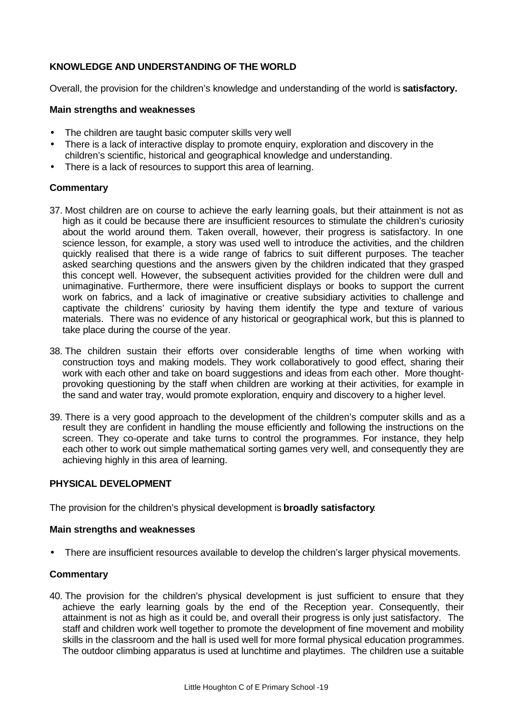## **KNOWLEDGE AND UNDERSTANDING OF THE WORLD**

Overall, the provision for the children's knowledge and understanding of the world is **satisfactory.**

### **Main strengths and weaknesses**

- The children are taught basic computer skills very well
- There is a lack of interactive display to promote enquiry, exploration and discovery in the children's scientific, historical and geographical knowledge and understanding.
- There is a lack of resources to support this area of learning.

## **Commentary**

- 37. Most children are on course to achieve the early learning goals, but their attainment is not as high as it could be because there are insufficient resources to stimulate the children's curiosity about the world around them. Taken overall, however, their progress is satisfactory. In one science lesson, for example, a story was used well to introduce the activities, and the children quickly realised that there is a wide range of fabrics to suit different purposes. The teacher asked searching questions and the answers given by the children indicated that they grasped this concept well. However, the subsequent activities provided for the children were dull and unimaginative. Furthermore, there were insufficient displays or books to support the current work on fabrics, and a lack of imaginative or creative subsidiary activities to challenge and captivate the childrens' curiosity by having them identify the type and texture of various materials. There was no evidence of any historical or geographical work, but this is planned to take place during the course of the year.
- 38. The children sustain their efforts over considerable lengths of time when working with construction toys and making models. They work collaboratively to good effect, sharing their work with each other and take on board suggestions and ideas from each other. More thoughtprovoking questioning by the staff when children are working at their activities, for example in the sand and water tray, would promote exploration, enquiry and discovery to a higher level.
- 39. There is a very good approach to the development of the children's computer skills and as a result they are confident in handling the mouse efficiently and following the instructions on the screen. They co-operate and take turns to control the programmes. For instance, they help each other to work out simple mathematical sorting games very well, and consequently they are achieving highly in this area of learning.

## **PHYSICAL DEVELOPMENT**

The provision for the children's physical development is **broadly satisfactory**.

### **Main strengths and weaknesses**

• There are insufficient resources available to develop the children's larger physical movements.

### **Commentary**

40. The provision for the children's physical development is just sufficient to ensure that they achieve the early learning goals by the end of the Reception year. Consequently, their attainment is not as high as it could be, and overall their progress is only just satisfactory. The staff and children work well together to promote the development of fine movement and mobility skills in the classroom and the hall is used well for more formal physical education programmes. The outdoor climbing apparatus is used at lunchtime and playtimes. The children use a suitable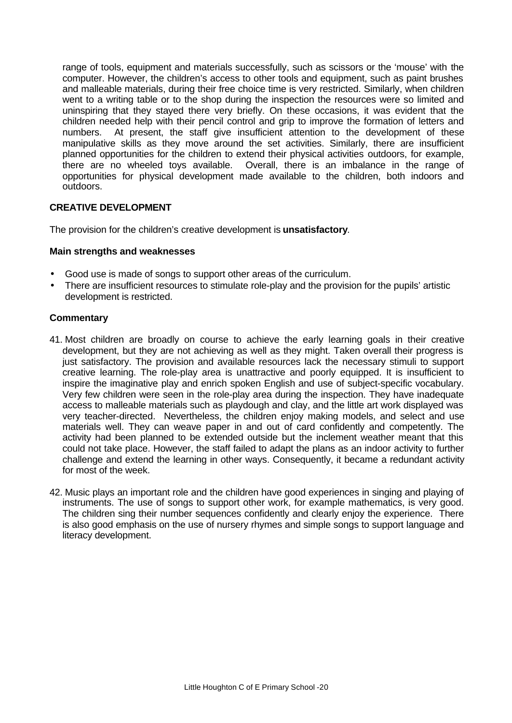range of tools, equipment and materials successfully, such as scissors or the 'mouse' with the computer. However, the children's access to other tools and equipment, such as paint brushes and malleable materials, during their free choice time is very restricted. Similarly, when children went to a writing table or to the shop during the inspection the resources were so limited and uninspiring that they stayed there very briefly. On these occasions, it was evident that the children needed help with their pencil control and grip to improve the formation of letters and numbers. At present, the staff give insufficient attention to the development of these manipulative skills as they move around the set activities. Similarly, there are insufficient planned opportunities for the children to extend their physical activities outdoors, for example, there are no wheeled toys available. Overall, there is an imbalance in the range of opportunities for physical development made available to the children, both indoors and outdoors.

## **CREATIVE DEVELOPMENT**

The provision for the children's creative development is **unsatisfactory**.

## **Main strengths and weaknesses**

- Good use is made of songs to support other areas of the curriculum.
- There are insufficient resources to stimulate role-play and the provision for the pupils' artistic development is restricted.

- 41. Most children are broadly on course to achieve the early learning goals in their creative development, but they are not achieving as well as they might. Taken overall their progress is just satisfactory. The provision and available resources lack the necessary stimuli to support creative learning. The role-play area is unattractive and poorly equipped. It is insufficient to inspire the imaginative play and enrich spoken English and use of subject-specific vocabulary. Very few children were seen in the role-play area during the inspection. They have inadequate access to malleable materials such as playdough and clay, and the little art work displayed was very teacher-directed. Nevertheless, the children enjoy making models, and select and use materials well. They can weave paper in and out of card confidently and competently. The activity had been planned to be extended outside but the inclement weather meant that this could not take place. However, the staff failed to adapt the plans as an indoor activity to further challenge and extend the learning in other ways. Consequently, it became a redundant activity for most of the week.
- 42. Music plays an important role and the children have good experiences in singing and playing of instruments. The use of songs to support other work, for example mathematics, is very good. The children sing their number sequences confidently and clearly enjoy the experience. There is also good emphasis on the use of nursery rhymes and simple songs to support language and literacy development.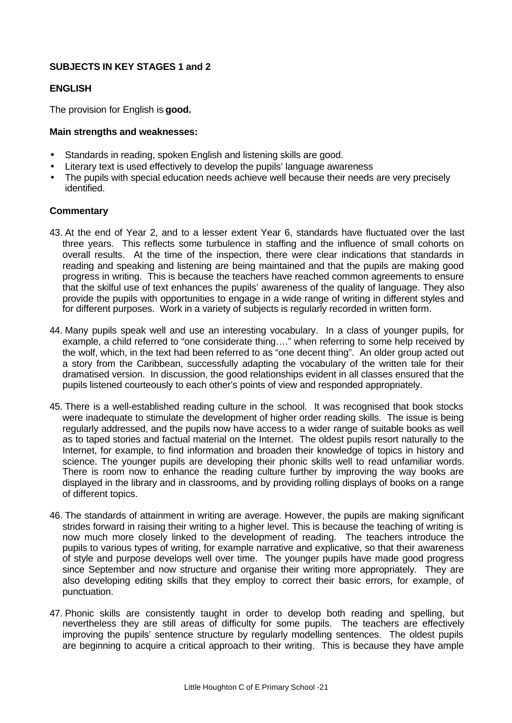# **SUBJECTS IN KEY STAGES 1 and 2**

## **ENGLISH**

The provision for English is **good.**

## **Main strengths and weaknesses:**

- Standards in reading, spoken English and listening skills are good.
- Literary text is used effectively to develop the pupils' language awareness
- The pupils with special education needs achieve well because their needs are very precisely identified.

- 43. At the end of Year 2, and to a lesser extent Year 6, standards have fluctuated over the last three years. This reflects some turbulence in staffing and the influence of small cohorts on overall results. At the time of the inspection, there were clear indications that standards in reading and speaking and listening are being maintained and that the pupils are making good progress in writing. This is because the teachers have reached common agreements to ensure that the skilful use of text enhances the pupils' awareness of the quality of language. They also provide the pupils with opportunities to engage in a wide range of writing in different styles and for different purposes. Work in a variety of subjects is regularly recorded in written form.
- 44. Many pupils speak well and use an interesting vocabulary. In a class of younger pupils, for example, a child referred to "one considerate thing…." when referring to some help received by the wolf, which, in the text had been referred to as "one decent thing". An older group acted out a story from the Caribbean, successfully adapting the vocabulary of the written tale for their dramatised version. In discussion, the good relationships evident in all classes ensured that the pupils listened courteously to each other's points of view and responded appropriately.
- 45. There is a well-established reading culture in the school. It was recognised that book stocks were inadequate to stimulate the development of higher order reading skills. The issue is being regularly addressed, and the pupils now have access to a wider range of suitable books as well as to taped stories and factual material on the Internet. The oldest pupils resort naturally to the Internet, for example, to find information and broaden their knowledge of topics in history and science. The younger pupils are developing their phonic skills well to read unfamiliar words. There is room now to enhance the reading culture further by improving the way books are displayed in the library and in classrooms, and by providing rolling displays of books on a range of different topics.
- 46. The standards of attainment in writing are average. However, the pupils are making significant strides forward in raising their writing to a higher level. This is because the teaching of writing is now much more closely linked to the development of reading. The teachers introduce the pupils to various types of writing, for example narrative and explicative, so that their awareness of style and purpose develops well over time. The younger pupils have made good progress since September and now structure and organise their writing more appropriately. They are also developing editing skills that they employ to correct their basic errors, for example, of punctuation.
- 47. Phonic skills are consistently taught in order to develop both reading and spelling, but nevertheless they are still areas of difficulty for some pupils. The teachers are effectively improving the pupils' sentence structure by regularly modelling sentences. The oldest pupils are beginning to acquire a critical approach to their writing. This is because they have ample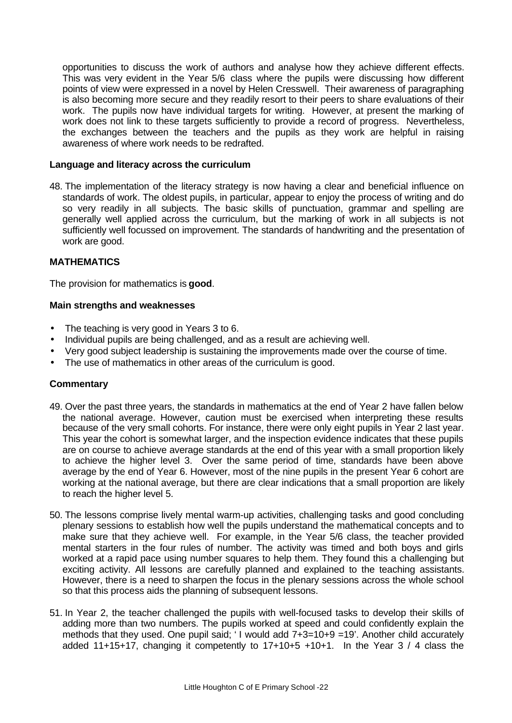opportunities to discuss the work of authors and analyse how they achieve different effects. This was very evident in the Year 5/6 class where the pupils were discussing how different points of view were expressed in a novel by Helen Cresswell. Their awareness of paragraphing is also becoming more secure and they readily resort to their peers to share evaluations of their work. The pupils now have individual targets for writing. However, at present the marking of work does not link to these targets sufficiently to provide a record of progress. Nevertheless, the exchanges between the teachers and the pupils as they work are helpful in raising awareness of where work needs to be redrafted.

## **Language and literacy across the curriculum**

48. The implementation of the literacy strategy is now having a clear and beneficial influence on standards of work. The oldest pupils, in particular, appear to enjoy the process of writing and do so very readily in all subjects. The basic skills of punctuation, grammar and spelling are generally well applied across the curriculum, but the marking of work in all subjects is not sufficiently well focussed on improvement. The standards of handwriting and the presentation of work are good.

## **MATHEMATICS**

The provision for mathematics is **good**.

### **Main strengths and weaknesses**

- The teaching is very good in Years 3 to 6.
- Individual pupils are being challenged, and as a result are achieving well.
- Very good subject leadership is sustaining the improvements made over the course of time.
- The use of mathematics in other areas of the curriculum is good.

- 49. Over the past three years, the standards in mathematics at the end of Year 2 have fallen below the national average. However, caution must be exercised when interpreting these results because of the very small cohorts. For instance, there were only eight pupils in Year 2 last year. This year the cohort is somewhat larger, and the inspection evidence indicates that these pupils are on course to achieve average standards at the end of this year with a small proportion likely to achieve the higher level 3. Over the same period of time, standards have been above average by the end of Year 6. However, most of the nine pupils in the present Year 6 cohort are working at the national average, but there are clear indications that a small proportion are likely to reach the higher level 5.
- 50. The lessons comprise lively mental warm-up activities, challenging tasks and good concluding plenary sessions to establish how well the pupils understand the mathematical concepts and to make sure that they achieve well. For example, in the Year 5/6 class, the teacher provided mental starters in the four rules of number. The activity was timed and both boys and girls worked at a rapid pace using number squares to help them. They found this a challenging but exciting activity. All lessons are carefully planned and explained to the teaching assistants. However, there is a need to sharpen the focus in the plenary sessions across the whole school so that this process aids the planning of subsequent lessons.
- 51. In Year 2, the teacher challenged the pupils with well-focused tasks to develop their skills of adding more than two numbers. The pupils worked at speed and could confidently explain the methods that they used. One pupil said; ' I would add 7+3=10+9 =19'. Another child accurately added 11+15+17, changing it competently to  $17+10+5$  +10+1. In the Year 3 / 4 class the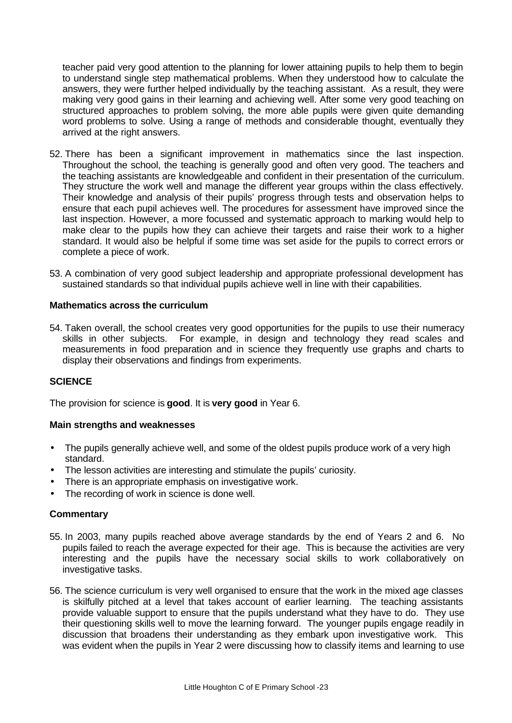teacher paid very good attention to the planning for lower attaining pupils to help them to begin to understand single step mathematical problems. When they understood how to calculate the answers, they were further helped individually by the teaching assistant. As a result, they were making very good gains in their learning and achieving well. After some very good teaching on structured approaches to problem solving, the more able pupils were given quite demanding word problems to solve. Using a range of methods and considerable thought, eventually they arrived at the right answers.

- 52. There has been a significant improvement in mathematics since the last inspection. Throughout the school, the teaching is generally good and often very good. The teachers and the teaching assistants are knowledgeable and confident in their presentation of the curriculum. They structure the work well and manage the different year groups within the class effectively. Their knowledge and analysis of their pupils' progress through tests and observation helps to ensure that each pupil achieves well. The procedures for assessment have improved since the last inspection. However, a more focussed and systematic approach to marking would help to make clear to the pupils how they can achieve their targets and raise their work to a higher standard. It would also be helpful if some time was set aside for the pupils to correct errors or complete a piece of work.
- 53. A combination of very good subject leadership and appropriate professional development has sustained standards so that individual pupils achieve well in line with their capabilities.

## **Mathematics across the curriculum**

54. Taken overall, the school creates very good opportunities for the pupils to use their numeracy skills in other subjects. For example, in design and technology they read scales and measurements in food preparation and in science they frequently use graphs and charts to display their observations and findings from experiments.

## **SCIENCE**

The provision for science is **good**. It is **very good** in Year 6.

### **Main strengths and weaknesses**

- The pupils generally achieve well, and some of the oldest pupils produce work of a very high standard.
- The lesson activities are interesting and stimulate the pupils' curiosity.
- There is an appropriate emphasis on investigative work.
- The recording of work in science is done well.

- 55. In 2003, many pupils reached above average standards by the end of Years 2 and 6. No pupils failed to reach the average expected for their age. This is because the activities are very interesting and the pupils have the necessary social skills to work collaboratively on investigative tasks.
- 56. The science curriculum is very well organised to ensure that the work in the mixed age classes is skilfully pitched at a level that takes account of earlier learning. The teaching assistants provide valuable support to ensure that the pupils understand what they have to do. They use their questioning skills well to move the learning forward. The younger pupils engage readily in discussion that broadens their understanding as they embark upon investigative work. This was evident when the pupils in Year 2 were discussing how to classify items and learning to use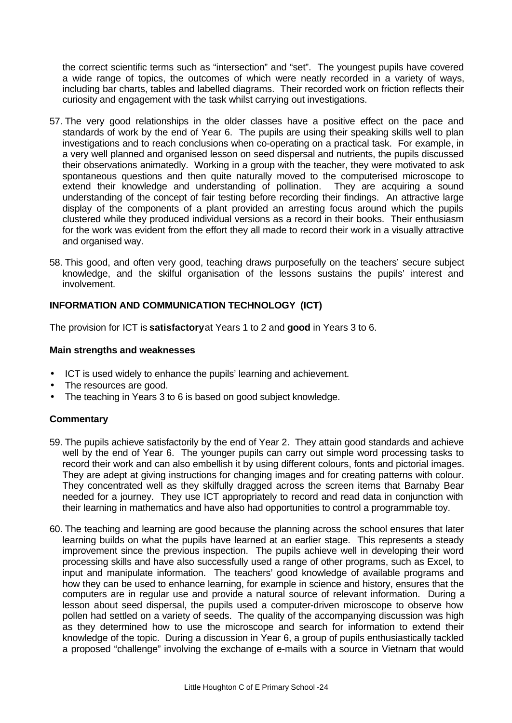the correct scientific terms such as "intersection" and "set". The youngest pupils have covered a wide range of topics, the outcomes of which were neatly recorded in a variety of ways, including bar charts, tables and labelled diagrams. Their recorded work on friction reflects their curiosity and engagement with the task whilst carrying out investigations.

- 57. The very good relationships in the older classes have a positive effect on the pace and standards of work by the end of Year 6. The pupils are using their speaking skills well to plan investigations and to reach conclusions when co-operating on a practical task. For example, in a very well planned and organised lesson on seed dispersal and nutrients, the pupils discussed their observations animatedly. Working in a group with the teacher, they were motivated to ask spontaneous questions and then quite naturally moved to the computerised microscope to extend their knowledge and understanding of pollination. They are acquiring a sound understanding of the concept of fair testing before recording their findings. An attractive large display of the components of a plant provided an arresting focus around which the pupils clustered while they produced individual versions as a record in their books. Their enthusiasm for the work was evident from the effort they all made to record their work in a visually attractive and organised way.
- 58. This good, and often very good, teaching draws purposefully on the teachers' secure subject knowledge, and the skilful organisation of the lessons sustains the pupils' interest and involvement.

## **INFORMATION AND COMMUNICATION TECHNOLOGY (ICT)**

The provision for ICT is **satisfactory** at Years 1 to 2 and **good** in Years 3 to 6.

## **Main strengths and weaknesses**

- ICT is used widely to enhance the pupils' learning and achievement.
- The resources are good.
- The teaching in Years 3 to 6 is based on good subject knowledge.

- 59. The pupils achieve satisfactorily by the end of Year 2. They attain good standards and achieve well by the end of Year 6. The younger pupils can carry out simple word processing tasks to record their work and can also embellish it by using different colours, fonts and pictorial images. They are adept at giving instructions for changing images and for creating patterns with colour. They concentrated well as they skilfully dragged across the screen items that Barnaby Bear needed for a journey. They use ICT appropriately to record and read data in conjunction with their learning in mathematics and have also had opportunities to control a programmable toy.
- 60. The teaching and learning are good because the planning across the school ensures that later learning builds on what the pupils have learned at an earlier stage. This represents a steady improvement since the previous inspection. The pupils achieve well in developing their word processing skills and have also successfully used a range of other programs, such as Excel, to input and manipulate information. The teachers' good knowledge of available programs and how they can be used to enhance learning, for example in science and history, ensures that the computers are in regular use and provide a natural source of relevant information. During a lesson about seed dispersal, the pupils used a computer-driven microscope to observe how pollen had settled on a variety of seeds. The quality of the accompanying discussion was high as they determined how to use the microscope and search for information to extend their knowledge of the topic. During a discussion in Year 6, a group of pupils enthusiastically tackled a proposed "challenge" involving the exchange of e-mails with a source in Vietnam that would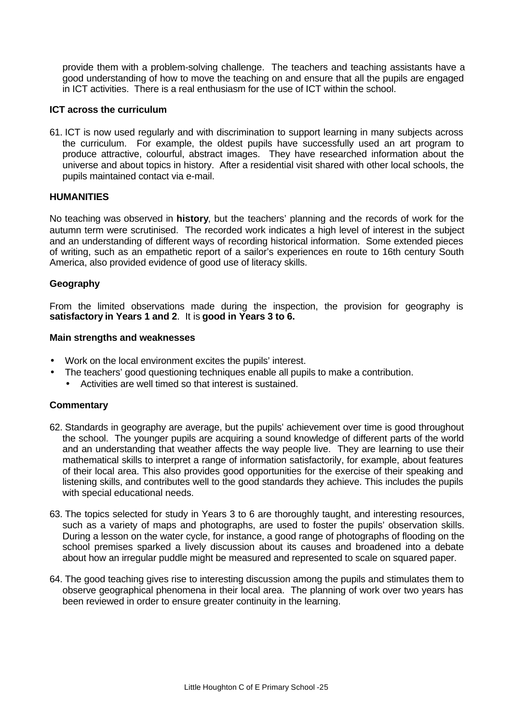provide them with a problem-solving challenge. The teachers and teaching assistants have a good understanding of how to move the teaching on and ensure that all the pupils are engaged in ICT activities. There is a real enthusiasm for the use of ICT within the school.

### **ICT across the curriculum**

61. ICT is now used regularly and with discrimination to support learning in many subjects across the curriculum. For example, the oldest pupils have successfully used an art program to produce attractive, colourful, abstract images. They have researched information about the universe and about topics in history. After a residential visit shared with other local schools, the pupils maintained contact via e-mail.

## **HUMANITIES**

No teaching was observed in **history**, but the teachers' planning and the records of work for the autumn term were scrutinised. The recorded work indicates a high level of interest in the subject and an understanding of different ways of recording historical information. Some extended pieces of writing, such as an empathetic report of a sailor's experiences en route to 16th century South America, also provided evidence of good use of literacy skills.

## **Geography**

From the limited observations made during the inspection, the provision for geography is **satisfactory in Years 1 and 2**. It is **good in Years 3 to 6.**

### **Main strengths and weaknesses**

- Work on the local environment excites the pupils' interest.
- The teachers' good questioning techniques enable all pupils to make a contribution.
	- Activities are well timed so that interest is sustained.

- 62. Standards in geography are average, but the pupils' achievement over time is good throughout the school. The younger pupils are acquiring a sound knowledge of different parts of the world and an understanding that weather affects the way people live. They are learning to use their mathematical skills to interpret a range of information satisfactorily, for example, about features of their local area. This also provides good opportunities for the exercise of their speaking and listening skills, and contributes well to the good standards they achieve. This includes the pupils with special educational needs.
- 63. The topics selected for study in Years 3 to 6 are thoroughly taught, and interesting resources, such as a variety of maps and photographs, are used to foster the pupils' observation skills. During a lesson on the water cycle, for instance, a good range of photographs of flooding on the school premises sparked a lively discussion about its causes and broadened into a debate about how an irregular puddle might be measured and represented to scale on squared paper.
- 64. The good teaching gives rise to interesting discussion among the pupils and stimulates them to observe geographical phenomena in their local area. The planning of work over two years has been reviewed in order to ensure greater continuity in the learning.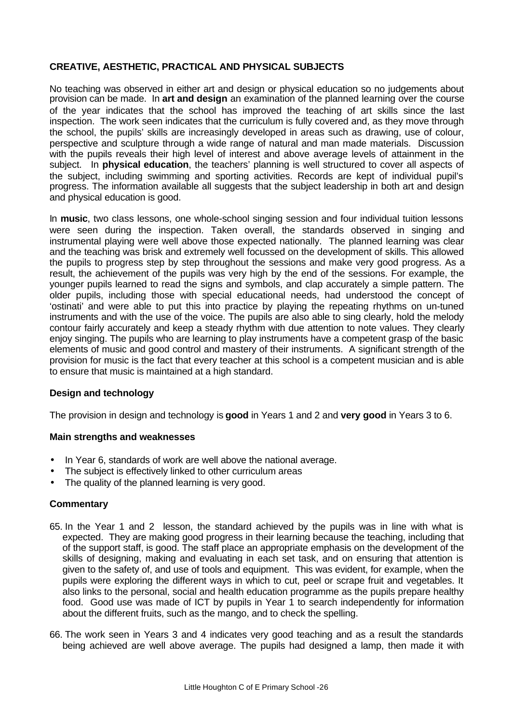# **CREATIVE, AESTHETIC, PRACTICAL AND PHYSICAL SUBJECTS**

No teaching was observed in either art and design or physical education so no judgements about provision can be made. In **art and design** an examination of the planned learning over the course of the year indicates that the school has improved the teaching of art skills since the last inspection. The work seen indicates that the curriculum is fully covered and, as they move through the school, the pupils' skills are increasingly developed in areas such as drawing, use of colour, perspective and sculpture through a wide range of natural and man made materials. Discussion with the pupils reveals their high level of interest and above average levels of attainment in the subject. In **physical education**, the teachers' planning is well structured to cover all aspects of the subject, including swimming and sporting activities. Records are kept of individual pupil's progress. The information available all suggests that the subject leadership in both art and design and physical education is good.

In **music**, two class lessons, one whole-school singing session and four individual tuition lessons were seen during the inspection. Taken overall, the standards observed in singing and instrumental playing were well above those expected nationally. The planned learning was clear and the teaching was brisk and extremely well focussed on the development of skills. This allowed the pupils to progress step by step throughout the sessions and make very good progress. As a result, the achievement of the pupils was very high by the end of the sessions. For example, the younger pupils learned to read the signs and symbols, and clap accurately a simple pattern. The older pupils, including those with special educational needs, had understood the concept of 'ostinati' and were able to put this into practice by playing the repeating rhythms on un-tuned instruments and with the use of the voice. The pupils are also able to sing clearly, hold the melody contour fairly accurately and keep a steady rhythm with due attention to note values. They clearly enjoy singing. The pupils who are learning to play instruments have a competent grasp of the basic elements of music and good control and mastery of their instruments. A significant strength of the provision for music is the fact that every teacher at this school is a competent musician and is able to ensure that music is maintained at a high standard.

## **Design and technology**

The provision in design and technology is **good** in Years 1 and 2 and **very good** in Years 3 to 6.

### **Main strengths and weaknesses**

- In Year 6, standards of work are well above the national average.
- The subject is effectively linked to other curriculum areas
- The quality of the planned learning is very good.

- 65. In the Year 1 and 2 lesson, the standard achieved by the pupils was in line with what is expected. They are making good progress in their learning because the teaching, including that of the support staff, is good. The staff place an appropriate emphasis on the development of the skills of designing, making and evaluating in each set task, and on ensuring that attention is given to the safety of, and use of tools and equipment. This was evident, for example, when the pupils were exploring the different ways in which to cut, peel or scrape fruit and vegetables. It also links to the personal, social and health education programme as the pupils prepare healthy food. Good use was made of ICT by pupils in Year 1 to search independently for information about the different fruits, such as the mango, and to check the spelling.
- 66. The work seen in Years 3 and 4 indicates very good teaching and as a result the standards being achieved are well above average. The pupils had designed a lamp, then made it with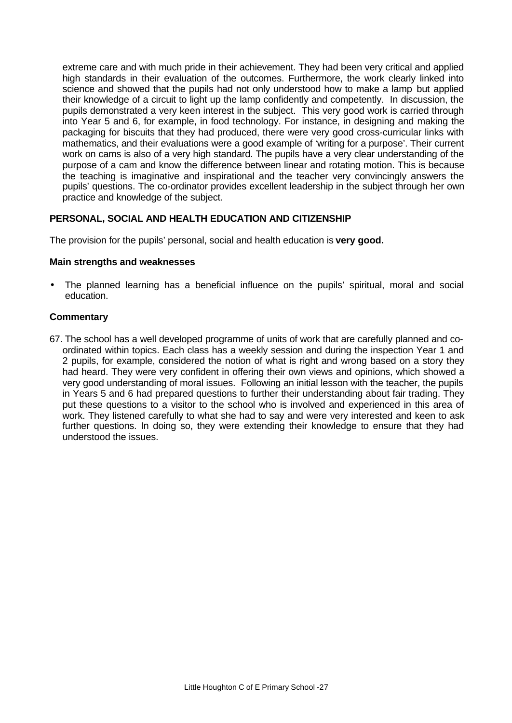extreme care and with much pride in their achievement. They had been very critical and applied high standards in their evaluation of the outcomes. Furthermore, the work clearly linked into science and showed that the pupils had not only understood how to make a lamp but applied their knowledge of a circuit to light up the lamp confidently and competently. In discussion, the pupils demonstrated a very keen interest in the subject. This very good work is carried through into Year 5 and 6, for example, in food technology. For instance, in designing and making the packaging for biscuits that they had produced, there were very good cross-curricular links with mathematics, and their evaluations were a good example of 'writing for a purpose'. Their current work on cams is also of a very high standard. The pupils have a very clear understanding of the purpose of a cam and know the difference between linear and rotating motion. This is because the teaching is imaginative and inspirational and the teacher very convincingly answers the pupils' questions. The co-ordinator provides excellent leadership in the subject through her own practice and knowledge of the subject.

## **PERSONAL, SOCIAL AND HEALTH EDUCATION AND CITIZENSHIP**

The provision for the pupils' personal, social and health education is **very good.**

## **Main strengths and weaknesses**

• The planned learning has a beneficial influence on the pupils' spiritual, moral and social education.

## **Commentary**

67. The school has a well developed programme of units of work that are carefully planned and coordinated within topics. Each class has a weekly session and during the inspection Year 1 and 2 pupils, for example, considered the notion of what is right and wrong based on a story they had heard. They were very confident in offering their own views and opinions, which showed a very good understanding of moral issues. Following an initial lesson with the teacher, the pupils in Years 5 and 6 had prepared questions to further their understanding about fair trading. They put these questions to a visitor to the school who is involved and experienced in this area of work. They listened carefully to what she had to say and were very interested and keen to ask further questions. In doing so, they were extending their knowledge to ensure that they had understood the issues.